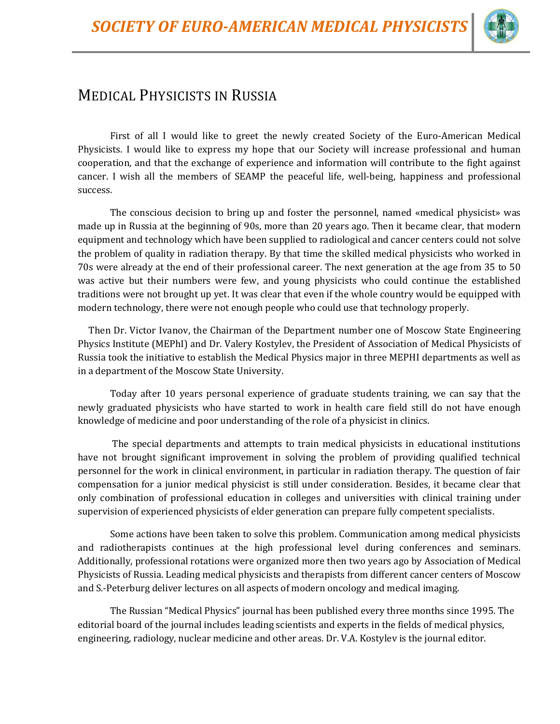

## MEDICAL PHYSICISTS IN RUSSIA

First of all I would like to greet the newly created Society of the Euro-American Medical Physicists. I would like to express my hope that our Society will increase professional and human cooperation, and that the exchange of experience and information will contribute to the fight against cancer. I wish all the members of SEAMP the peaceful life, well-being, happiness and professional success.

The conscious decision to bring up and foster the personnel, named «medical physicist» was made up in Russia at the beginning of 90s, more than 20 years ago. Then it became clear, that modern equipment and technology which have been supplied to radiological and cancer centers could not solve the problem of quality in radiation therapy. By that time the skilled medical physicists who worked in 70s were already at the end of their professional career. The next generation at the age from 35 to 50 was active but their numbers were few, and young physicists who could continue the established traditions were not brought up yet. It was clear that even if the whole country would be equipped with modern technology, there were not enough people who could use that technology properly.

 Then Dr. Victor Ivanov, the Chairman of the Department number one of Moscow State Engineering Physics Institute (MEPhI) and Dr. Valery Kostylev, the President of Association of Medical Physicists of Russia took the initiative to establish the Medical Physics major in three MEPHI departments as well as in a department of the Moscow State University.

Today after 10 years personal experience of graduate students training, we can say that the newly graduated physicists who have started to work in health care field still do not have enough knowledge of medicine and poor understanding of the role of a physicist in clinics.

The special departments and attempts to train medical physicists in educational institutions have not brought significant improvement in solving the problem of providing qualified technical personnel for the work in clinical environment, in particular in radiation therapy. The question of fair compensation for a junior medical physicist is still under consideration. Besides, it became clear that only combination of professional education in colleges and universities with clinical training under supervision of experienced physicists of elder generation can prepare fully competent specialists.

Some actions have been taken to solve this problem. Communication among medical physicists and radiotherapists continues at the high professional level during conferences and seminars. Additionally, professional rotations were organized more then two years ago by Association of Medical Physicists of Russia. Leading medical physicists and therapists from different cancer centers of Moscow and S.-Peterburg deliver lectures on all aspects of modern oncology and medical imaging.

The Russian "Medical Physics" journal has been published every three months since 1995. The editorial board of the journal includes leading scientists and experts in the fields of medical physics, engineering, radiology, nuclear medicine and other areas. Dr. V.A. Kostylev is the journal editor.